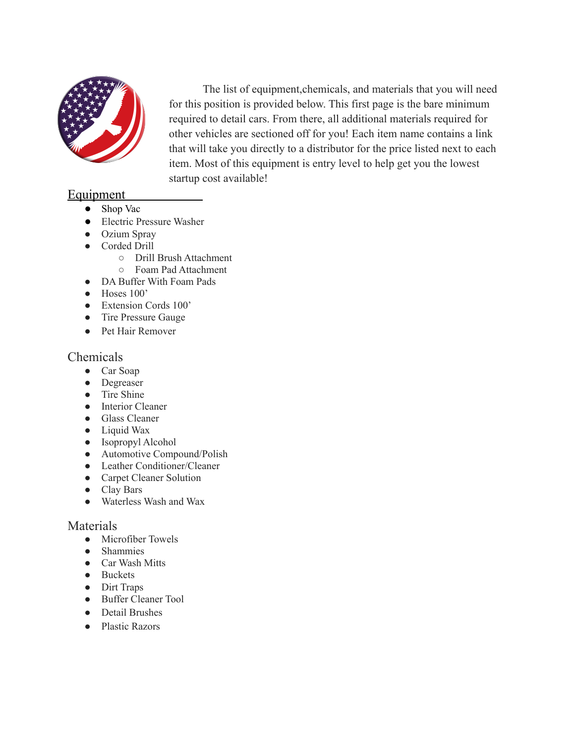

The list of equipment,chemicals, and materials that you will need for this position is provided below. This first page is the bare minimum required to detail cars. From there, all additional materials required for other vehicles are sectioned off for you! Each item name contains a link that will take you directly to a distributor for the price listed next to each item. Most of this equipment is entry level to help get you the lowest startup cost available!

### **Equipment**

- Shop Vac
- Electric Pressure Washer
- Ozium Spray
- Corded Drill
	- Drill Brush Attachment
	- Foam Pad Attachment
- DA Buffer With Foam Pads
- Hoses 100'
- Extension Cords 100'
- Tire Pressure Gauge
- Pet Hair Remover

#### Chemicals

- Car Soap
- Degreaser
- Tire Shine
- Interior Cleaner
- Glass Cleaner
- Liquid Wax
- Isopropyl Alcohol
- Automotive Compound/Polish
- Leather Conditioner/Cleaner
- Carpet Cleaner Solution
- Clay Bars
- Waterless Wash and Wax

#### Materials

- Microfiber Towels
- Shammies
- Car Wash Mitts
- Buckets
- Dirt Traps
- Buffer Cleaner Tool
- Detail Brushes
- Plastic Razors